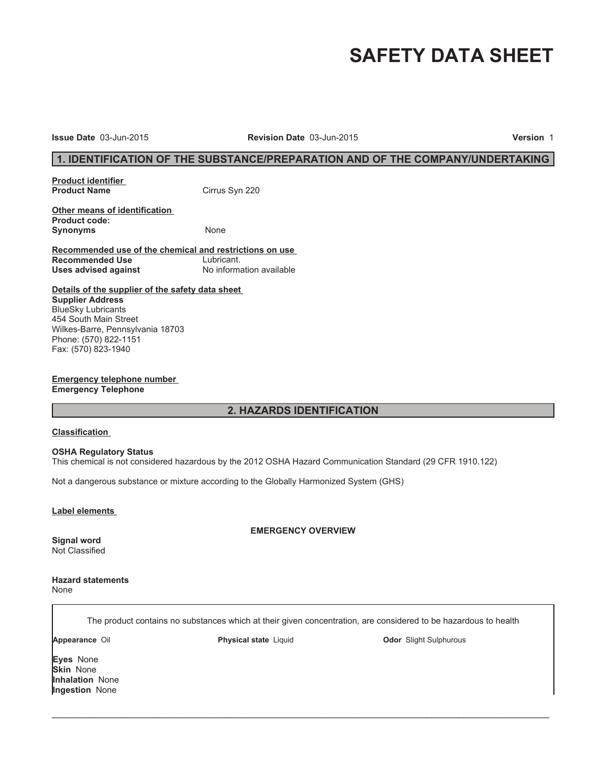# **SAFETY DATA SHEET**

**Issue Date** 03-Jun-2015 **Revision Date** 03-Jun-2015 **Version** 1

# **1. IDENTIFICATION OF THE SUBSTANCE/PREPARATION AND OF THE COMPANY/UNDERTAKING**

**Product identifier** 

**Cirrus Syn 220** 

**Other means of identification Product code:** Synonyms None

**Recommended use of the chemical and restrictions on use Recommended Use** Lubricant.<br> **Uses advised against** Mo information available **Uses advised against** 

**Details of the supplier of the safety data sheet Supplier Address** BlueSky Lubricants 454 South Main Street Wilkes-Barre, Pennsylvania 18703 Phone: (570) 822-1151 Fax: (570) 823-1940

**Emergency telephone number Emergency Telephone**

# **2. HAZARDS IDENTIFICATION**

#### **Classification**

#### **OSHA Regulatory Status**

This chemical is not considered hazardous by the 2012 OSHA Hazard Communication Standard (29 CFR 1910.122)

Not a dangerous substance or mixture according to the Globally Harmonized System (GHS)

#### **Label elements**

**Signal word** Not Classified **EMERGENCY OVERVIEW**

**Hazard statements**

None

The product contains no substances which at their given concentration, are considered to be hazardous to health

 $\_$  ,  $\_$  ,  $\_$  ,  $\_$  ,  $\_$  ,  $\_$  ,  $\_$  ,  $\_$  ,  $\_$  ,  $\_$  ,  $\_$  ,  $\_$  ,  $\_$  ,  $\_$  ,  $\_$  ,  $\_$  ,  $\_$  ,  $\_$  ,  $\_$  ,  $\_$  ,  $\_$  ,  $\_$  ,  $\_$  ,  $\_$  ,  $\_$  ,  $\_$  ,  $\_$  ,  $\_$  ,  $\_$  ,  $\_$  ,  $\_$  ,  $\_$  ,  $\_$  ,  $\_$  ,  $\_$  ,  $\_$  ,  $\_$  ,

**Appearance** Oil **Physical state** Liquid **Odor** Slight Sulphurous

**Eyes** None **Skin** None **Inhalation** None **Ingestion** None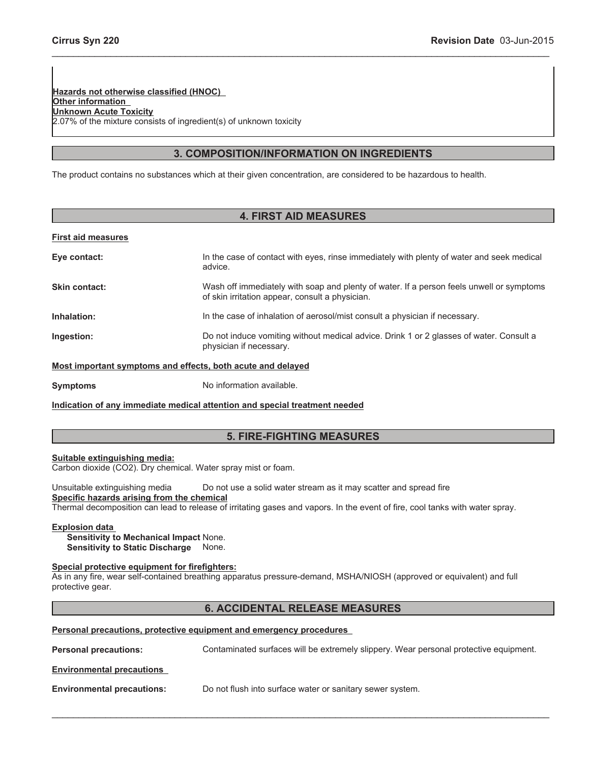**Hazards not otherwise classified (HNOC) Other information Unknown Acute Toxicity** 2.07% of the mixture consists of ingredient(s) of unknown toxicity

# **3. COMPOSITION/INFORMATION ON INGREDIENTS**

\_\_\_\_\_\_\_\_\_\_\_\_\_\_\_\_\_\_\_\_\_\_\_\_\_\_\_\_\_\_\_\_\_\_\_\_\_\_\_\_\_\_\_\_\_\_\_\_\_\_\_\_\_\_\_\_\_\_\_\_\_\_\_\_\_\_\_\_\_\_\_\_\_\_\_\_\_\_\_\_\_\_\_\_\_\_\_\_\_\_\_\_\_

The product contains no substances which at their given concentration, are considered to be hazardous to health.

# **4. FIRST AID MEASURES**

## **First aid measures**

| Eye contact:                                                | In the case of contact with eyes, rinse immediately with plenty of water and seek medical<br>advice.                                        |  |
|-------------------------------------------------------------|---------------------------------------------------------------------------------------------------------------------------------------------|--|
| Skin contact:                                               | Wash off immediately with soap and plenty of water. If a person feels unwell or symptoms<br>of skin irritation appear, consult a physician. |  |
| Inhalation:                                                 | In the case of inhalation of aerosol/mist consult a physician if necessary.                                                                 |  |
| Ingestion:                                                  | Do not induce vomiting without medical advice. Drink 1 or 2 glasses of water. Consult a<br>physician if necessary.                          |  |
| Most important symptoms and effects, both acute and delayed |                                                                                                                                             |  |
| <b>Symptoms</b>                                             | No information available.                                                                                                                   |  |

**Indication of any immediate medical attention and special treatment needed**

# **5. FIRE-FIGHTING MEASURES**

## **Suitable extinguishing media:**

Carbon dioxide (CO2). Dry chemical. Water spray mist or foam.

Unsuitable extinguishing media Do not use a solid water stream as it may scatter and spread fire **Specific hazards arising from the chemical** Thermal decomposition can lead to release of irritating gases and vapors. In the event of fire, cool tanks with water spray.

## **Explosion data**

**Sensitivity to Mechanical Impact** None. **Sensitivity to Static Discharge** None.

# **Special protective equipment for firefighters:**

As in any fire, wear self-contained breathing apparatus pressure-demand, MSHA/NIOSH (approved or equivalent) and full protective gear.

# **6. ACCIDENTAL RELEASE MEASURES**

#### **Personal precautions, protective equipment and emergency procedures**

**Personal precautions:** Contaminated surfaces will be extremely slippery. Wear personal protective equipment.

 $\_$  , and the contribution of the contribution of the contribution of the contribution of  $\mathcal{L}_\text{max}$ 

**Environmental precautions**

**Environmental precautions:** Do not flush into surface water or sanitary sewer system.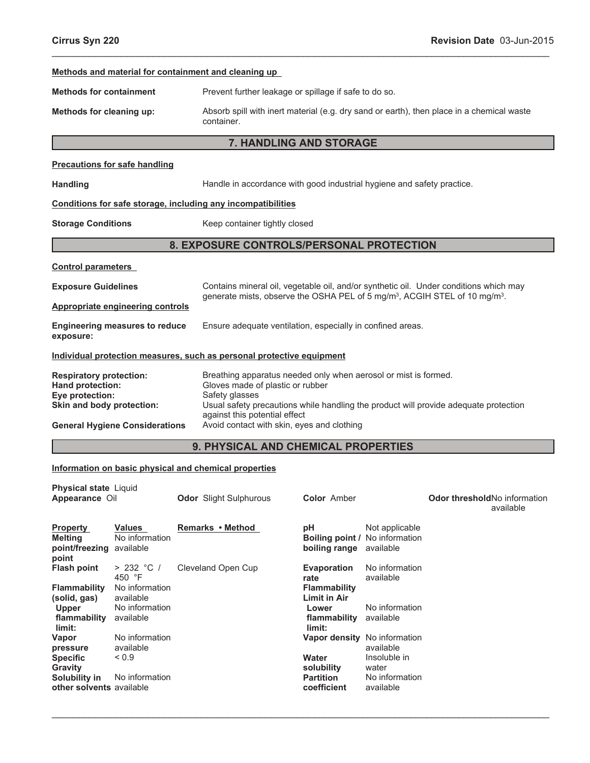|                                                                                                                                                               |                                                                                                                                 |  | Methods and material for containment and cleaning up                                                                                                                                                 |                                                                                                                                           |                                                                                                                                  |                                                                                           |
|---------------------------------------------------------------------------------------------------------------------------------------------------------------|---------------------------------------------------------------------------------------------------------------------------------|--|------------------------------------------------------------------------------------------------------------------------------------------------------------------------------------------------------|-------------------------------------------------------------------------------------------------------------------------------------------|----------------------------------------------------------------------------------------------------------------------------------|-------------------------------------------------------------------------------------------|
| <b>Methods for containment</b>                                                                                                                                |                                                                                                                                 |  | Prevent further leakage or spillage if safe to do so.                                                                                                                                                |                                                                                                                                           |                                                                                                                                  |                                                                                           |
| Methods for cleaning up:                                                                                                                                      |                                                                                                                                 |  | container.                                                                                                                                                                                           |                                                                                                                                           |                                                                                                                                  | Absorb spill with inert material (e.g. dry sand or earth), then place in a chemical waste |
|                                                                                                                                                               |                                                                                                                                 |  | 7. HANDLING AND STORAGE                                                                                                                                                                              |                                                                                                                                           |                                                                                                                                  |                                                                                           |
|                                                                                                                                                               | <b>Precautions for safe handling</b>                                                                                            |  |                                                                                                                                                                                                      |                                                                                                                                           |                                                                                                                                  |                                                                                           |
| <b>Handling</b>                                                                                                                                               |                                                                                                                                 |  | Handle in accordance with good industrial hygiene and safety practice.                                                                                                                               |                                                                                                                                           |                                                                                                                                  |                                                                                           |
| Conditions for safe storage, including any incompatibilities                                                                                                  |                                                                                                                                 |  |                                                                                                                                                                                                      |                                                                                                                                           |                                                                                                                                  |                                                                                           |
| <b>Storage Conditions</b>                                                                                                                                     |                                                                                                                                 |  | Keep container tightly closed                                                                                                                                                                        |                                                                                                                                           |                                                                                                                                  |                                                                                           |
|                                                                                                                                                               |                                                                                                                                 |  | 8. EXPOSURE CONTROLS/PERSONAL PROTECTION                                                                                                                                                             |                                                                                                                                           |                                                                                                                                  |                                                                                           |
| <b>Control parameters</b>                                                                                                                                     |                                                                                                                                 |  |                                                                                                                                                                                                      |                                                                                                                                           |                                                                                                                                  |                                                                                           |
|                                                                                                                                                               | <b>Exposure Guidelines</b><br><b>Appropriate engineering controls</b>                                                           |  | Contains mineral oil, vegetable oil, and/or synthetic oil. Under conditions which may<br>generate mists, observe the OSHA PEL of 5 mg/m <sup>3</sup> , ACGIH STEL of 10 mg/m <sup>3</sup> .          |                                                                                                                                           |                                                                                                                                  |                                                                                           |
|                                                                                                                                                               |                                                                                                                                 |  |                                                                                                                                                                                                      |                                                                                                                                           |                                                                                                                                  |                                                                                           |
| exposure:                                                                                                                                                     | <b>Engineering measures to reduce</b>                                                                                           |  | Ensure adequate ventilation, especially in confined areas.                                                                                                                                           |                                                                                                                                           |                                                                                                                                  |                                                                                           |
|                                                                                                                                                               |                                                                                                                                 |  | Individual protection measures, such as personal protective equipment                                                                                                                                |                                                                                                                                           |                                                                                                                                  |                                                                                           |
| <b>Respiratory protection:</b><br>Hand protection:<br>Eye protection:<br>Skin and body protection:                                                            | <b>General Hygiene Considerations</b>                                                                                           |  | Breathing apparatus needed only when aerosol or mist is formed.<br>Gloves made of plastic or rubber<br>Safety glasses<br>against this potential effect<br>Avoid contact with skin, eyes and clothing |                                                                                                                                           |                                                                                                                                  | Usual safety precautions while handling the product will provide adequate protection      |
|                                                                                                                                                               |                                                                                                                                 |  | 9. PHYSICAL AND CHEMICAL PROPERTIES                                                                                                                                                                  |                                                                                                                                           |                                                                                                                                  |                                                                                           |
|                                                                                                                                                               |                                                                                                                                 |  | Information on basic physical and chemical properties                                                                                                                                                |                                                                                                                                           |                                                                                                                                  |                                                                                           |
| <b>Physical state Liquid</b><br>Appearance Oil                                                                                                                |                                                                                                                                 |  | <b>Odor</b> Slight Sulphurous                                                                                                                                                                        | <b>Color Amber</b>                                                                                                                        |                                                                                                                                  | Odor thresholdNo information<br>available                                                 |
| <b>Property</b><br><b>Melting</b><br>point/freezing<br>point                                                                                                  | <b>Values</b><br>No information<br>available                                                                                    |  | Remarks • Method                                                                                                                                                                                     | pH<br>boiling range                                                                                                                       | Not applicable<br>Boiling point / No information<br>available                                                                    |                                                                                           |
| <b>Flash point</b><br><b>Flammability</b><br>(solid, gas)<br><b>Upper</b><br>flammability<br>limit:<br>Vapor<br>pressure<br><b>Specific</b><br><b>Gravity</b> | > 232 °C /<br>450 °F<br>No information<br>available<br>No information<br>available<br>No information<br>available<br>${}_{0.9}$ |  | Cleveland Open Cup                                                                                                                                                                                   | <b>Evaporation</b><br>rate<br><b>Flammability</b><br><b>Limit in Air</b><br>Lower<br>flammability<br>limit:<br><b>Water</b><br>solubility | No information<br>available<br>No information<br>available<br>Vapor density No information<br>available<br>Insoluble in<br>water |                                                                                           |

 $\_$  , and the contribution of the contribution of the contribution of the contribution of  $\mathcal{L}_\text{max}$ 

**Partition coefficient**

No information available

\_\_\_\_\_\_\_\_\_\_\_\_\_\_\_\_\_\_\_\_\_\_\_\_\_\_\_\_\_\_\_\_\_\_\_\_\_\_\_\_\_\_\_\_\_\_\_\_\_\_\_\_\_\_\_\_\_\_\_\_\_\_\_\_\_\_\_\_\_\_\_\_\_\_\_\_\_\_\_\_\_\_\_\_\_\_\_\_\_\_\_\_\_

**Solubility in other solvents** No information available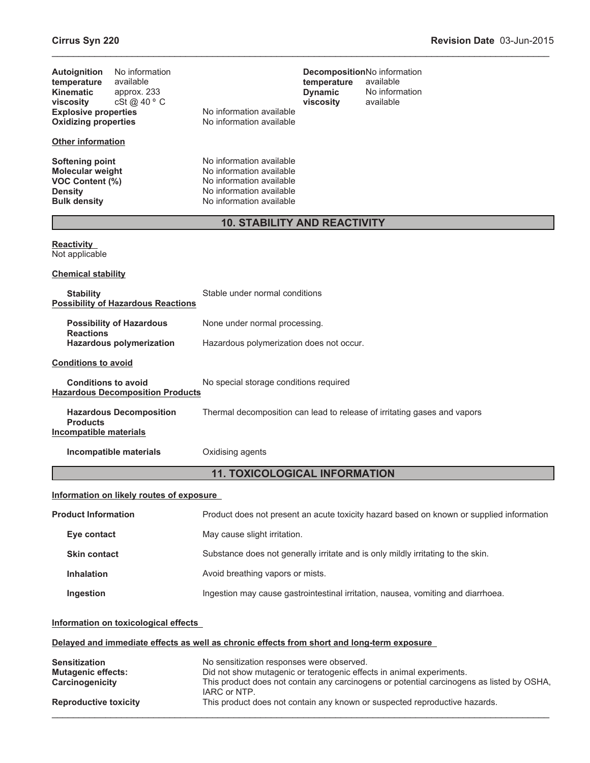| No information<br><b>Autoignition</b><br>available<br>temperature<br><b>Kinematic</b><br>approx. 233<br>cSt@40°C<br>viscosity<br><b>Explosive properties</b><br><b>Oxidizing properties</b><br><b>Other information</b> | No information available<br>No information available                                                                                     | DecompositionNo information<br>temperature<br><b>Dynamic</b><br>viscosity | available<br>No information<br>available                                                                                                                          |  |  |
|-------------------------------------------------------------------------------------------------------------------------------------------------------------------------------------------------------------------------|------------------------------------------------------------------------------------------------------------------------------------------|---------------------------------------------------------------------------|-------------------------------------------------------------------------------------------------------------------------------------------------------------------|--|--|
| <b>Softening point</b><br><b>Molecular weight</b><br>VOC Content (%)<br><b>Density</b><br><b>Bulk density</b>                                                                                                           | No information available<br>No information available<br>No information available<br>No information available<br>No information available |                                                                           |                                                                                                                                                                   |  |  |
|                                                                                                                                                                                                                         | <b>10. STABILITY AND REACTIVITY</b>                                                                                                      |                                                                           |                                                                                                                                                                   |  |  |
| <b>Reactivity</b><br>Not applicable                                                                                                                                                                                     |                                                                                                                                          |                                                                           |                                                                                                                                                                   |  |  |
| <b>Chemical stability</b>                                                                                                                                                                                               |                                                                                                                                          |                                                                           |                                                                                                                                                                   |  |  |
| <b>Stability</b><br><b>Possibility of Hazardous Reactions</b>                                                                                                                                                           | Stable under normal conditions                                                                                                           |                                                                           |                                                                                                                                                                   |  |  |
| <b>Possibility of Hazardous</b><br><b>Reactions</b>                                                                                                                                                                     | None under normal processing.                                                                                                            |                                                                           |                                                                                                                                                                   |  |  |
| <b>Hazardous polymerization</b>                                                                                                                                                                                         | Hazardous polymerization does not occur.                                                                                                 |                                                                           |                                                                                                                                                                   |  |  |
| <b>Conditions to avoid</b>                                                                                                                                                                                              |                                                                                                                                          |                                                                           |                                                                                                                                                                   |  |  |
| <b>Conditions to avoid</b><br><b>Hazardous Decomposition Products</b>                                                                                                                                                   | No special storage conditions required                                                                                                   |                                                                           |                                                                                                                                                                   |  |  |
| <b>Hazardous Decomposition</b><br><b>Products</b><br>Incompatible materials                                                                                                                                             |                                                                                                                                          |                                                                           | Thermal decomposition can lead to release of irritating gases and vapors                                                                                          |  |  |
| Incompatible materials                                                                                                                                                                                                  | Oxidising agents                                                                                                                         |                                                                           |                                                                                                                                                                   |  |  |
|                                                                                                                                                                                                                         | <b>11. TOXICOLOGICAL INFORMATION</b>                                                                                                     |                                                                           |                                                                                                                                                                   |  |  |
| Information on likely routes of exposure                                                                                                                                                                                |                                                                                                                                          |                                                                           |                                                                                                                                                                   |  |  |
| <b>Product Information</b>                                                                                                                                                                                              |                                                                                                                                          |                                                                           | Product does not present an acute toxicity hazard based on known or supplied information                                                                          |  |  |
| Eye contact                                                                                                                                                                                                             | May cause slight irritation.                                                                                                             |                                                                           |                                                                                                                                                                   |  |  |
| <b>Skin contact</b>                                                                                                                                                                                                     |                                                                                                                                          |                                                                           | Substance does not generally irritate and is only mildly irritating to the skin.                                                                                  |  |  |
| <b>Inhalation</b>                                                                                                                                                                                                       | Avoid breathing vapors or mists.                                                                                                         |                                                                           |                                                                                                                                                                   |  |  |
| Ingestion                                                                                                                                                                                                               |                                                                                                                                          |                                                                           | Ingestion may cause gastrointestinal irritation, nausea, vomiting and diarrhoea.                                                                                  |  |  |
| Information on toxicological effects                                                                                                                                                                                    |                                                                                                                                          |                                                                           |                                                                                                                                                                   |  |  |
|                                                                                                                                                                                                                         | Delayed and immediate effects as well as chronic effects from short and long-term exposure                                               |                                                                           |                                                                                                                                                                   |  |  |
| <b>Sensitization</b><br><b>Mutagenic effects:</b><br>Carcinogenicity                                                                                                                                                    | No sensitization responses were observed.<br>IARC or NTP.                                                                                |                                                                           | Did not show mutagenic or teratogenic effects in animal experiments.<br>This product does not contain any carcinogens or potential carcinogens as listed by OSHA, |  |  |
| <b>Reproductive toxicity</b>                                                                                                                                                                                            |                                                                                                                                          |                                                                           | This product does not contain any known or suspected reproductive hazards.                                                                                        |  |  |

\_\_\_\_\_\_\_\_\_\_\_\_\_\_\_\_\_\_\_\_\_\_\_\_\_\_\_\_\_\_\_\_\_\_\_\_\_\_\_\_\_\_\_\_\_\_\_\_\_\_\_\_\_\_\_\_\_\_\_\_\_\_\_\_\_\_\_\_\_\_\_\_\_\_\_\_\_\_\_\_\_\_\_\_\_\_\_\_\_\_\_\_\_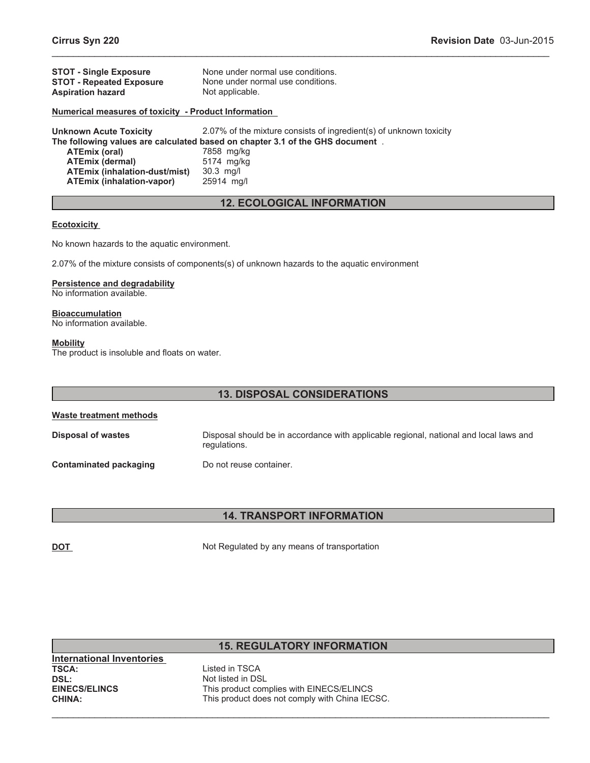| <b>STOT - Single Exposure</b>                               | None under normal use conditions.                    |
|-------------------------------------------------------------|------------------------------------------------------|
| <b>STOT - Repeated Exposure</b><br><b>Aspiration hazard</b> | None under normal use conditions.<br>Not applicable. |
|                                                             |                                                      |

## **Numerical measures of toxicity - Product Information**

**Unknown Acute Toxicity** 2.07% of the mixture consists of ingredient(s) of unknown toxicity **The following values are calculated based on chapter 3.1 of the GHS document** . **ATEmix (oral)** 7858 mg/kg **ATEmix (dermal)** 5174 mg/kg **ATEmix (inhalation-dust/mist)** 30.3 mg/l **ATEmix (inhalation-vapor)** 

# **12. ECOLOGICAL INFORMATION**

\_\_\_\_\_\_\_\_\_\_\_\_\_\_\_\_\_\_\_\_\_\_\_\_\_\_\_\_\_\_\_\_\_\_\_\_\_\_\_\_\_\_\_\_\_\_\_\_\_\_\_\_\_\_\_\_\_\_\_\_\_\_\_\_\_\_\_\_\_\_\_\_\_\_\_\_\_\_\_\_\_\_\_\_\_\_\_\_\_\_\_\_\_

#### **Ecotoxicity**

No known hazards to the aquatic environment.

2.07% of the mixture consists of components(s) of unknown hazards to the aquatic environment

#### **Persistence and degradability**

No information available.

**Bioaccumulation**

No information available.

#### **Mobility**

The product is insoluble and floats on water.

| <b>13. DISPOSAL CONSIDERATIONS</b> |                                                                                                        |  |
|------------------------------------|--------------------------------------------------------------------------------------------------------|--|
| Waste treatment methods            |                                                                                                        |  |
| Disposal of wastes                 | Disposal should be in accordance with applicable regional, national and local laws and<br>regulations. |  |
| <b>Contaminated packaging</b>      | Do not reuse container.                                                                                |  |

# **14. TRANSPORT INFORMATION**

**DOT** Not Regulated by any means of transportation

# **15. REGULATORY INFORMATION**

**International Inventories DSL:**<br> **EINECS/ELINCS**<br> **EINECS/ELINCS**<br> **EINECS/ELINCS** 

**TSCA:** Listed in TSCA This product complies with EINECS/ELINCS **CHINA:** This product does not comply with China IECSC.

 $\_$  , and the contribution of the contribution of the contribution of the contribution of  $\mathcal{L}_\text{max}$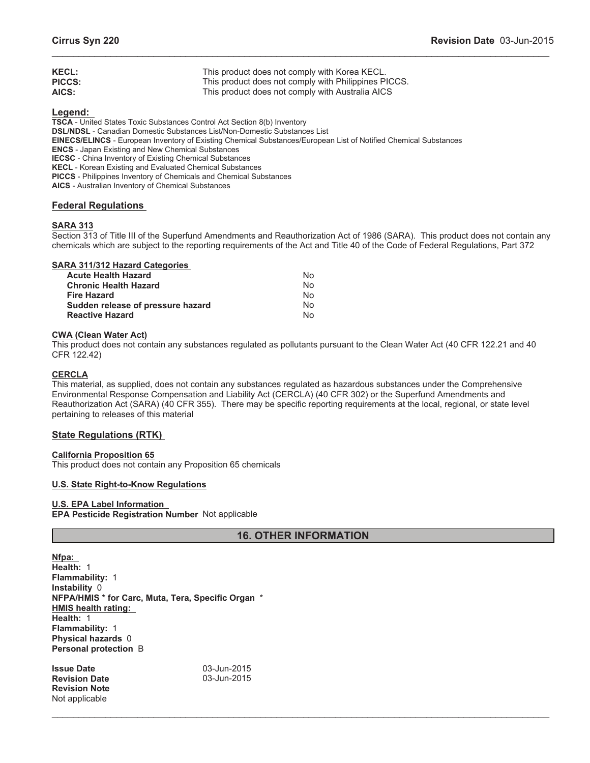| <b>KECL:</b>  | This product does not comply with Korea KECL.        |
|---------------|------------------------------------------------------|
| <b>PICCS:</b> | This product does not comply with Philippines PICCS. |
| AICS:         | This product does not comply with Australia AICS     |

**Legend:**

**TSCA** - United States Toxic Substances Control Act Section 8(b) Inventory **DSL/NDSL** - Canadian Domestic Substances List/Non-Domestic Substances List **EINECS/ELINCS** - European Inventory of Existing Chemical Substances/European List of Notified Chemical Substances **ENCS** - Japan Existing and New Chemical Substances **IECSC** - China Inventory of Existing Chemical Substances **KECL** - Korean Existing and Evaluated Chemical Substances **PICCS** - Philippines Inventory of Chemicals and Chemical Substances **AICS** - Australian Inventory of Chemical Substances

# **Federal Regulations**

# **SARA 313**

Section 313 of Title III of the Superfund Amendments and Reauthorization Act of 1986 (SARA). This product does not contain any chemicals which are subject to the reporting requirements of the Act and Title 40 of the Code of Federal Regulations, Part 372

\_\_\_\_\_\_\_\_\_\_\_\_\_\_\_\_\_\_\_\_\_\_\_\_\_\_\_\_\_\_\_\_\_\_\_\_\_\_\_\_\_\_\_\_\_\_\_\_\_\_\_\_\_\_\_\_\_\_\_\_\_\_\_\_\_\_\_\_\_\_\_\_\_\_\_\_\_\_\_\_\_\_\_\_\_\_\_\_\_\_\_\_\_

# **SARA 311/312 Hazard Categories**

| N٥ |
|----|
| No |
| No |
| N٥ |
| N٥ |
|    |

## **CWA (Clean Water Act)**

This product does not contain any substances regulated as pollutants pursuant to the Clean Water Act (40 CFR 122.21 and 40 CFR 122.42)

## **CERCLA**

This material, as supplied, does not contain any substances regulated as hazardous substances under the Comprehensive Environmental Response Compensation and Liability Act (CERCLA) (40 CFR 302) or the Superfund Amendments and Reauthorization Act (SARA) (40 CFR 355). There may be specific reporting requirements at the local, regional, or state level pertaining to releases of this material

# **State Regulations (RTK)**

## **California Proposition 65**

This product does not contain any Proposition 65 chemicals

## **U.S. State Right-to-Know Regulations**

## **U.S. EPA Label Information**

**EPA Pesticide Registration Number** Not applicable

# **16. OTHER INFORMATION**

 $\_$  , and the contribution of the contribution of the contribution of the contribution of  $\mathcal{L}_\text{max}$ 

**Nfpa: Health:** 1 **Flammability:** 1 **Instability** 0 **NFPA/HMIS \* for Carc, Muta, Tera, Specific Organ** \* **HMIS health rating: Health:** 1 **Flammability:** 1 **Physical hazards** 0 **Personal protection** B

**Issue Date 1988 1989 1989 1989 1989 1989 1989 1989 1989 1989 1989 1989 1989 1989 1989 1989 1989 1989 1989 1989 1989 1989 1989 1989 1989 1989 1989 1989 1989 1989 Revision Date Revision Note** Not applicable

03-Jun-2015